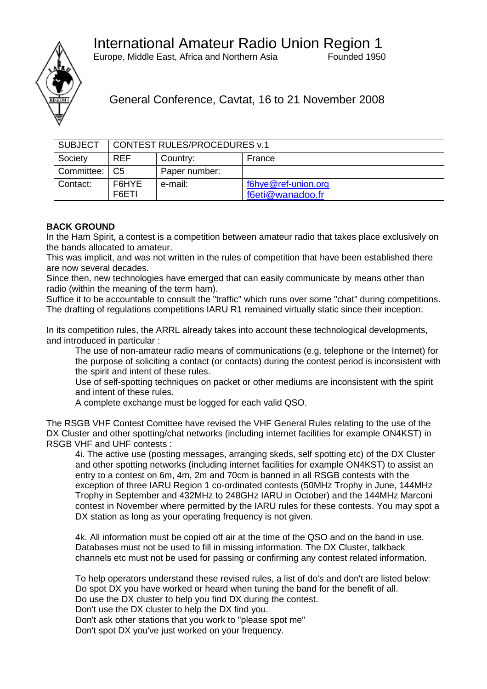Europe, Middle East, Africa and Northern Asia Founded 1950



General Conference, Cavtat, 16 to 21 November 2008

| <b>SUBJECT</b>  | <b>CONTEST RULES/PROCEDURES v.1</b> |               |                                         |
|-----------------|-------------------------------------|---------------|-----------------------------------------|
| Society         | <b>REF</b>                          | Country:      | France                                  |
| Committee:   C5 |                                     | Paper number: |                                         |
| Contact:        | F6HYE<br>F6ETI                      | e-mail:       | f6hye@ref-union.org<br>f6eti@wanadoo.fr |

## **BACK GROUND**

In the Ham Spirit, a contest is a competition between amateur radio that takes place exclusively on the bands allocated to amateur.

This was implicit, and was not written in the rules of competition that have been established there are now several decades.

Since then, new technologies have emerged that can easily communicate by means other than radio (within the meaning of the term ham).

Suffice it to be accountable to consult the "traffic" which runs over some "chat" during competitions. The drafting of regulations competitions IARU R1 remained virtually static since their inception.

In its competition rules, the ARRL already takes into account these technological developments, and introduced in particular :

The use of non-amateur radio means of communications (e.g. telephone or the Internet) for the purpose of soliciting a contact (or contacts) during the contest period is inconsistent with the spirit and intent of these rules.

Use of self-spotting techniques on packet or other mediums are inconsistent with the spirit and intent of these rules.

A complete exchange must be logged for each valid QSO.

The RSGB VHF Contest Comittee have revised the VHF General Rules relating to the use of the DX Cluster and other spotting/chat networks (including internet facilities for example ON4KST) in RSGB VHF and UHF contests :

4i. The active use (posting messages, arranging skeds, self spotting etc) of the DX Cluster and other spotting networks (including internet facilities for example ON4KST) to assist an entry to a contest on 6m, 4m, 2m and 70cm is banned in all RSGB contests with the exception of three IARU Region 1 co-ordinated contests (50MHz Trophy in June, 144MHz Trophy in September and 432MHz to 248GHz IARU in October) and the 144MHz Marconi contest in November where permitted by the IARU rules for these contests. You may spot a DX station as long as your operating frequency is not given.

4k. All information must be copied off air at the time of the QSO and on the band in use. Databases must not be used to fill in missing information. The DX Cluster, talkback channels etc must not be used for passing or confirming any contest related information.

To help operators understand these revised rules, a list of do's and don't are listed below: Do spot DX you have worked or heard when tuning the band for the benefit of all. Do use the DX cluster to help you find DX during the contest. Don't use the DX cluster to help the DX find you. Don't ask other stations that you work to "please spot me" Don't spot DX you've just worked on your frequency.